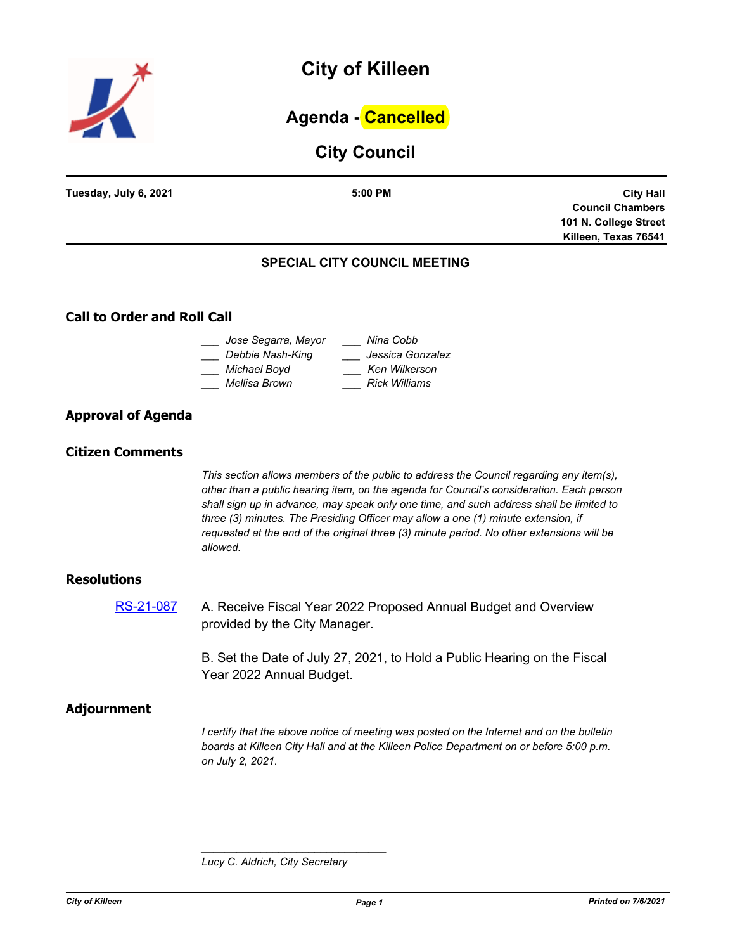

# **City of Killeen**

# **Agenda - Cancelled**

# **City Council**

| Tuesday, July 6, 2021 | 5:00 PM                       | <b>City Hall</b>        |
|-----------------------|-------------------------------|-------------------------|
|                       |                               | <b>Council Chambers</b> |
|                       |                               | 101 N. College Street   |
|                       |                               | Killeen, Texas 76541    |
|                       | SPECIAL CITY COLINCIL MEETING |                         |

## **SPECIAL CITY COUNCIL MEETING**

# **Call to Order and Roll Call**

| Jose Segarra, Mayor | Nina Cobb            |
|---------------------|----------------------|
| Debbie Nash-King    | Jessica Gonzalez     |
| Michael Boyd        | Ken Wilkerson        |
| Mellisa Brown       | <b>Rick Williams</b> |
|                     |                      |

# **Approval of Agenda**

## **Citizen Comments**

*This section allows members of the public to address the Council regarding any item(s), other than a public hearing item, on the agenda for Council's consideration. Each person shall sign up in advance, may speak only one time, and such address shall be limited to three (3) minutes. The Presiding Officer may allow a one (1) minute extension, if requested at the end of the original three (3) minute period. No other extensions will be allowed.*

### **Resolutions**

[RS-21-087](http://killeen.legistar.com/gateway.aspx?m=l&id=/matter.aspx?key=5548) A. Receive Fiscal Year 2022 Proposed Annual Budget and Overview provided by the City Manager.

> B. Set the Date of July 27, 2021, to Hold a Public Hearing on the Fiscal Year 2022 Annual Budget.

### **Adjournment**

*I certify that the above notice of meeting was posted on the Internet and on the bulletin boards at Killeen City Hall and at the Killeen Police Department on or before 5:00 p.m. on July 2, 2021.*

*Lucy C. Aldrich, City Secretary* 

*\_\_\_\_\_\_\_\_\_\_\_\_\_\_\_\_\_\_\_\_\_\_\_\_\_\_\_\_\_\_\_*